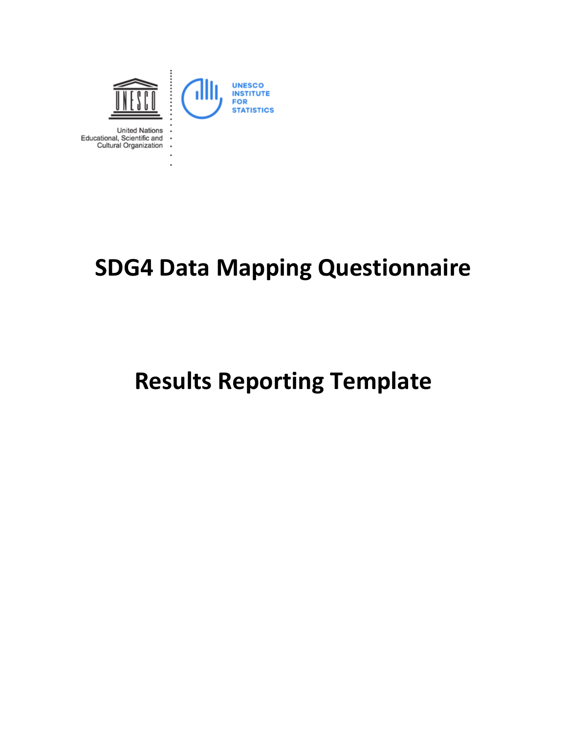

## **SDG4 Data Mapping Questionnaire**

# **Results Reporting Template**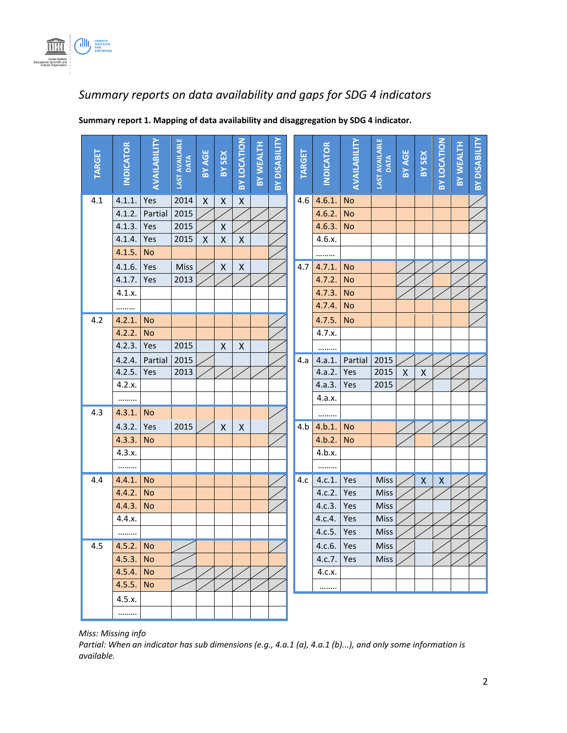

### *Summary reports on data availability and gaps for SDG 4 indicators*

| <b>TARGET</b> | <b>NDICATOR</b> | AVAILABILITY | <b>LAST AVAILABLE</b><br><b>DATA</b> | <b>BY AGE</b> | BY SEX             | BY LOCATION        | <b>BY WEALTH</b> | BY DISABILITY | <b>TARGET</b> | <b>INDICATOR</b> | AVAILABILITY | <b>LAST AVAILABLE</b><br>DATA | <b>BY AGE</b>      | BY SEX             | BY LOCATION        | BY WEALTH | <b>BY DISABILITY</b> |
|---------------|-----------------|--------------|--------------------------------------|---------------|--------------------|--------------------|------------------|---------------|---------------|------------------|--------------|-------------------------------|--------------------|--------------------|--------------------|-----------|----------------------|
| 4.1           | 4.1.1.          | Yes          | 2014                                 | X             | $\pmb{\mathsf{X}}$ | $\pmb{\mathsf{X}}$ |                  |               | 4.6           | 4.6.1.           | <b>No</b>    |                               |                    |                    |                    |           |                      |
|               | 4.1.2.          | Partial      | 2015                                 |               |                    |                    |                  |               |               | 4.6.2.           | <b>No</b>    |                               |                    |                    |                    |           |                      |
|               | 4.1.3.          | Yes          | 2015                                 |               | X                  |                    |                  |               |               | 4.6.3.           | <b>No</b>    |                               |                    |                    |                    |           |                      |
|               | 4.1.4.          | Yes          | 2015                                 | Χ             | X                  | $\pmb{\mathsf{X}}$ |                  |               |               | 4.6.x.           |              |                               |                    |                    |                    |           |                      |
|               | 4.1.5.          | <b>No</b>    |                                      |               |                    |                    |                  |               |               | .                |              |                               |                    |                    |                    |           |                      |
|               | 4.1.6.          | Yes          | Miss                                 |               | $\pmb{\mathsf{X}}$ | $\pmb{\mathsf{X}}$ |                  |               | 4.7           | 4.7.1.           | <b>No</b>    |                               |                    |                    |                    |           |                      |
|               | 4.1.7.          | Yes          | 2013                                 |               |                    |                    |                  |               |               | 4.7.2.           | <b>No</b>    |                               |                    |                    |                    |           |                      |
|               | 4.1.x.          |              |                                      |               |                    |                    |                  |               |               | 4.7.3.           | <b>No</b>    |                               |                    |                    |                    |           |                      |
|               | .               |              |                                      |               |                    |                    |                  |               |               | 4.7.4.           | <b>No</b>    |                               |                    |                    |                    |           |                      |
| 4.2           | 4.2.1.          | <b>No</b>    |                                      |               |                    |                    |                  |               |               | 4.7.5.           | <b>No</b>    |                               |                    |                    |                    |           |                      |
|               | 4.2.2.          | <b>No</b>    |                                      |               |                    |                    |                  |               |               | 4.7.x.           |              |                               |                    |                    |                    |           |                      |
|               | 4.2.3.          | Yes          | 2015                                 |               | $\mathsf{X}$       | $\pmb{\mathsf{X}}$ |                  |               |               |                  |              |                               |                    |                    |                    |           |                      |
|               | 4.2.4.          | Partial      | 2015                                 |               |                    |                    |                  |               | 4.a           | 4.a.1.           | Partial      | 2015                          |                    |                    |                    |           |                      |
|               | 4.2.5.          | Yes          | 2013                                 |               |                    |                    |                  |               |               | 4.a.2.           | Yes          | 2015                          | $\pmb{\mathsf{X}}$ | Χ                  |                    |           |                      |
|               | 4.2.x.          |              |                                      |               |                    |                    |                  |               |               | 4.a.3.           | Yes          | 2015                          |                    |                    |                    |           |                      |
|               |                 |              |                                      |               |                    |                    |                  |               |               | 4.a.x.           |              |                               |                    |                    |                    |           |                      |
| 4.3           | 4.3.1.          | <b>No</b>    |                                      |               |                    |                    |                  |               |               |                  |              |                               |                    |                    |                    |           |                      |
|               | 4.3.2.          | Yes          | 2015                                 |               | X                  | X                  |                  |               | 4.b           | 4.b.1.           | <b>No</b>    |                               |                    |                    |                    |           |                      |
|               | 4.3.3.          | No           |                                      |               |                    |                    |                  |               |               | 4.b.2.           | <b>No</b>    |                               |                    |                    |                    |           |                      |
|               | 4.3.x.          |              |                                      |               |                    |                    |                  |               |               | 4.b.x.           |              |                               |                    |                    |                    |           |                      |
|               |                 |              |                                      |               |                    |                    |                  |               |               |                  |              |                               |                    |                    |                    |           |                      |
| 4.4           | 4.4.1.          | <b>No</b>    |                                      |               |                    |                    |                  |               | 4.c           | 4.c.1.           | Yes          | Miss                          |                    | $\pmb{\mathsf{X}}$ | $\pmb{\mathsf{X}}$ |           |                      |
|               | 4.4.2.          | No           |                                      |               |                    |                    |                  |               |               | 4.c.2.           | Yes          | <b>Miss</b>                   |                    |                    |                    |           |                      |
|               | 4.4.3.          | No           |                                      |               |                    |                    |                  |               |               | 4.c.3.           | Yes          | Miss                          |                    |                    |                    |           |                      |
|               | 4.4.x.          |              |                                      |               |                    |                    |                  |               |               | 4.c.4.           | Yes          | Miss                          |                    |                    |                    |           |                      |
|               |                 |              |                                      |               |                    |                    |                  |               |               | 4.c.5.           | Yes          | Miss                          |                    |                    |                    |           |                      |
| 4.5           | 4.5.2.          | <b>No</b>    |                                      |               |                    |                    |                  |               |               | 4.c.6.           | Yes          | <b>Miss</b>                   |                    |                    |                    |           |                      |
|               | 4.5.3.          | No           |                                      |               |                    |                    |                  |               |               | 4.c.7.           | Yes          | <b>Miss</b>                   |                    |                    |                    |           |                      |
|               | 4.5.4.          | No           |                                      |               |                    |                    |                  |               |               | 4.c.x.           |              |                               |                    |                    |                    |           |                      |
|               | 4.5.5.          | <b>No</b>    |                                      |               |                    |                    |                  |               |               |                  |              |                               |                    |                    |                    |           |                      |
|               | 4.5.x.          |              |                                      |               |                    |                    |                  |               |               |                  |              |                               |                    |                    |                    |           |                      |
|               | .               |              |                                      |               |                    |                    |                  |               |               |                  |              |                               |                    |                    |                    |           |                      |

**Summary report 1. Mapping of data availability and disaggregation by SDG 4 indicator.** 

*Miss: Missing info* 

*Partial: When an indicator has sub dimensions (e.g., 4.a.1 (a), 4.a.1 (b)...), and only some information is available.*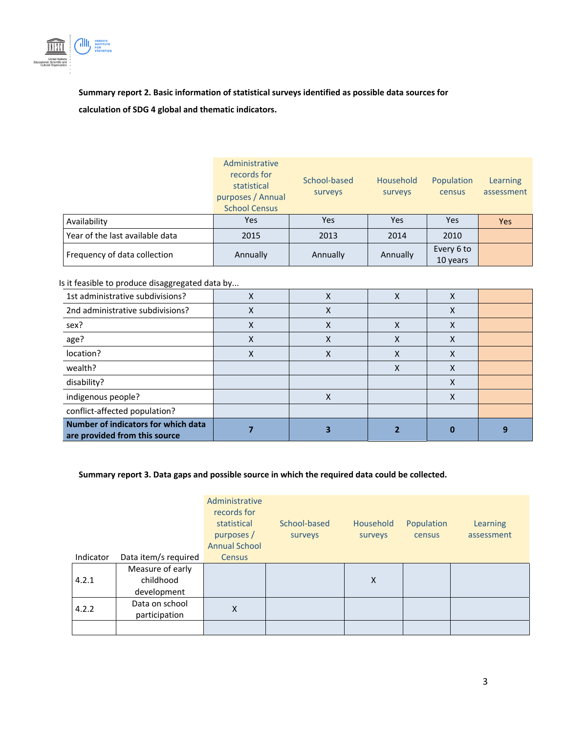

**Summary report 2. Basic information of statistical surveys identified as possible data sources for calculation of SDG 4 global and thematic indicators.** 

|                                 | Administrative<br>records for<br>statistical<br>purposes / Annual<br><b>School Census</b> | School-based<br>surveys | Household<br>surveys | Population<br>census   | Learning<br>assessment |
|---------------------------------|-------------------------------------------------------------------------------------------|-------------------------|----------------------|------------------------|------------------------|
| Availability                    | <b>Yes</b>                                                                                | Yes                     | Yes                  | <b>Yes</b>             | <b>Yes</b>             |
| Year of the last available data | 2015                                                                                      | 2013<br>2014            |                      | 2010                   |                        |
| Frequency of data collection    | Annually                                                                                  | Annually                | Annually             | Every 6 to<br>10 years |                        |

#### Is it feasible to produce disaggregated data by...

| 1st administrative subdivisions?                                     | v | Χ | л | X |  |
|----------------------------------------------------------------------|---|---|---|---|--|
| 2nd administrative subdivisions?                                     | х | х |   | л |  |
| sex?                                                                 | Χ | X |   | Χ |  |
| age?                                                                 | ⋏ | х |   | х |  |
| location?                                                            | x | Χ |   | χ |  |
| wealth?                                                              |   |   |   | ⋏ |  |
| disability?                                                          |   |   |   | Χ |  |
| indigenous people?                                                   |   | Χ |   | х |  |
| conflict-affected population?                                        |   |   |   |   |  |
| Number of indicators for which data<br>are provided from this source |   |   |   |   |  |

#### **Summary report 3. Data gaps and possible source in which the required data could be collected.**

|           |                      | Administrative<br>records for<br>statistical<br>purposes /<br><b>Annual School</b> | School-based<br>surveys | Household<br>surveys | Population<br>census | Learning<br>assessment |
|-----------|----------------------|------------------------------------------------------------------------------------|-------------------------|----------------------|----------------------|------------------------|
| Indicator | Data item/s required | <b>Census</b>                                                                      |                         |                      |                      |                        |
|           | Measure of early     |                                                                                    |                         |                      |                      |                        |
| 4.2.1     | childhood            |                                                                                    |                         | X                    |                      |                        |
|           | development          |                                                                                    |                         |                      |                      |                        |
| 4.2.2     | Data on school       | X                                                                                  |                         |                      |                      |                        |
|           | participation        |                                                                                    |                         |                      |                      |                        |
|           |                      |                                                                                    |                         |                      |                      |                        |